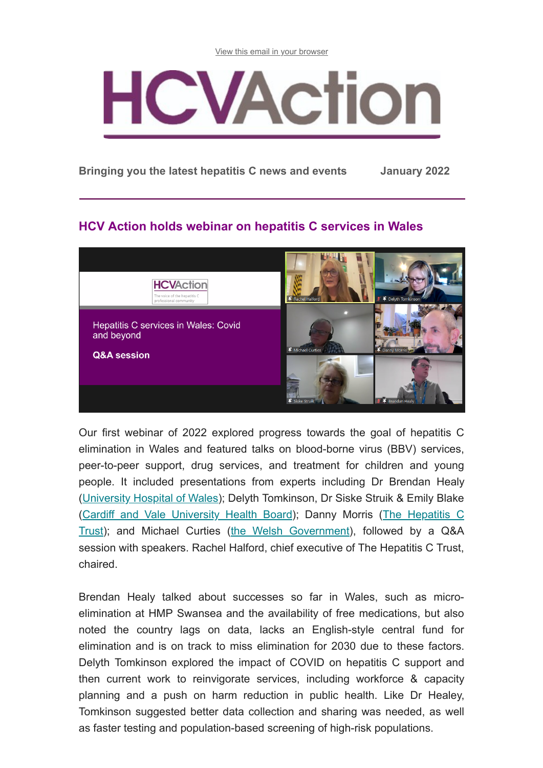[View this email in your browser](https://us12.campaign-archive.com/?e=[UNIQID]&u=b3061589d4a2e4790a1667a40&id=ae9e066478)



**Bringing you the latest hepatitis C news and events January 2022**

### **HCV Action holds webinar on hepatitis C services in Wales**



Our first webinar of 2022 explored progress towards the goal of hepatitis C elimination in Wales and featured talks on blood-borne virus (BBV) services, peer-to-peer support, drug services, and treatment for children and young people. It included presentations from experts including Dr Brendan Healy ([University Hospital of Wales](https://cavuhb.nhs.wales/hospitals-and-health-centres/our-hospitals/uhw/)); Delyth Tomkinson, Dr Siske Struik & Emily Blake [\(C](http://hepctrust.org.uk/)[ardiff and Vale University Health Board](https://cavuhb.nhs.wales/)[\); Danny Morris \(The Hepatitis C](http://hepctrust.org.uk/) Trust); and Michael Curties [\(the Welsh Government](https://gov.wales/substance-misuse-delivery-plan-2019-2022-0)), followed by a Q&A session with speakers. Rachel Halford, chief executive of The Hepatitis C Trust, chaired.

Brendan Healy talked about successes so far in Wales, such as microelimination at HMP Swansea and the availability of free medications, but also noted the country lags on data, lacks an English-style central fund for elimination and is on track to miss elimination for 2030 due to these factors. Delyth Tomkinson explored the impact of COVID on hepatitis C support and then current work to reinvigorate services, including workforce & capacity planning and a push on harm reduction in public health. Like Dr Healey, Tomkinson suggested better data collection and sharing was needed, as well as faster testing and population-based screening of high-risk populations.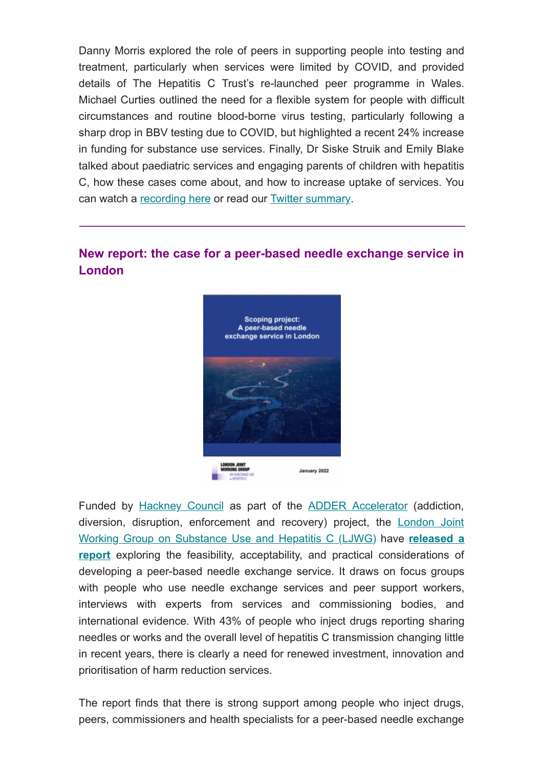Danny Morris explored the role of peers in supporting people into testing and treatment, particularly when services were limited by COVID, and provided details of The Hepatitis C Trust's re-launched peer programme in Wales. Michael Curties outlined the need for a flexible system for people with difficult circumstances and routine blood-borne virus testing, particularly following a sharp drop in BBV testing due to COVID, but highlighted a recent 24% increase in funding for substance use services. Finally, Dr Siske Struik and Emily Blake talked about paediatric services and engaging parents of children with hepatitis C, how these cases come about, and how to increase uptake of services. You can watch a [recording here](https://youtu.be/B7wc91KJPCk) or read our [Twitter summary.](https://twitter.com/HCVAction/status/1483454885253234690)

## **New report: the case for a peer-based needle exchange service in London**



Funded by [Hackney Council](https://hackney.gov.uk/substance-misuse) as part of the [ADDER Accelerator](https://www.gov.uk/government/news/148-million-to-cut-drugs-crime) (addiction, [diversion, disruption, enforcement and recovery\) project, the London Joint](http://ljwg.org.uk/) Working Group on Substance Use and Hepatitis C (LJWG) have **released a report** [exploring the feasibility, acceptability, and practical considerations of](http://www.hcvaction.org.uk/sites/default/files/resources/Scoping%20project%20-%20A%20peer-based%20needle%20exchange%20service%20in%20London_0.pdf) developing a peer-based needle exchange service. It draws on focus groups with people who use needle exchange services and peer support workers, interviews with experts from services and commissioning bodies, and international evidence. With 43% of people who inject drugs reporting sharing needles or works and the overall level of hepatitis C transmission changing little in recent years, there is clearly a need for renewed investment, innovation and prioritisation of harm reduction services.

The report finds that there is strong support among people who inject drugs, peers, commissioners and health specialists for a peer-based needle exchange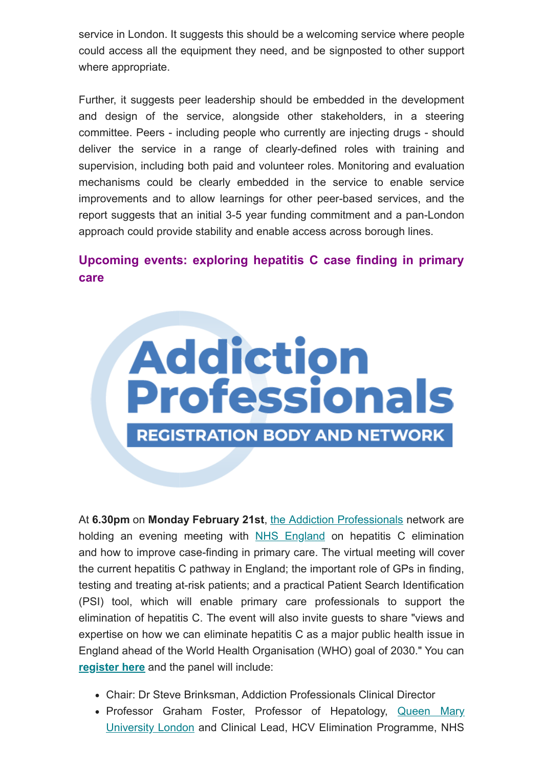service in London. It suggests this should be a welcoming service where people could access all the equipment they need, and be signposted to other support where appropriate.

Further, it suggests peer leadership should be embedded in the development and design of the service, alongside other stakeholders, in a steering committee. Peers - including people who currently are injecting drugs - should deliver the service in a range of clearly-defined roles with training and supervision, including both paid and volunteer roles. Monitoring and evaluation mechanisms could be clearly embedded in the service to enable service improvements and to allow learnings for other peer-based services, and the report suggests that an initial 3-5 year funding commitment and a pan-London approach could provide stability and enable access across borough lines.

# **Upcoming events: exploring hepatitis C case finding in primary care**



At **6.30pm** on **Monday February 21st**, [the Addiction Professionals](https://www.addictionprofessionals.org.uk/) network are holding an evening meeting with [NHS England](https://www.england.nhs.uk/blog/our-aim-is-to-rid-england-of-the-hepatitis-c-virus/) on hepatitis C elimination and how to improve case-finding in primary care. The virtual meeting will cover the current hepatitis C pathway in England; the important role of GPs in finding, testing and treating at-risk patients; and a practical Patient Search Identification (PSI) tool, which will enable primary care professionals to support the elimination of hepatitis C. The event will also invite guests to share "views and expertise on how we can eliminate hepatitis C as a major public health issue in England ahead of the World Health Organisation (WHO) goal of 2030." You can **[register here](https://us06web.zoom.us/meeting/register/tZEtde6tpjwtGNbfxTeM2QhcxGgXH92cnFv6)** and the panel will include:

- Chair: Dr Steve Brinksman, Addiction Professionals Clinical Director
- Professor Graham [Foster, Professor of Hepatology, Queen Mary](https://www.qmul.ac.uk/blizard/all-staff/profiles/graham-foster.html) University London and Clinical Lead, HCV Elimination Programme, NHS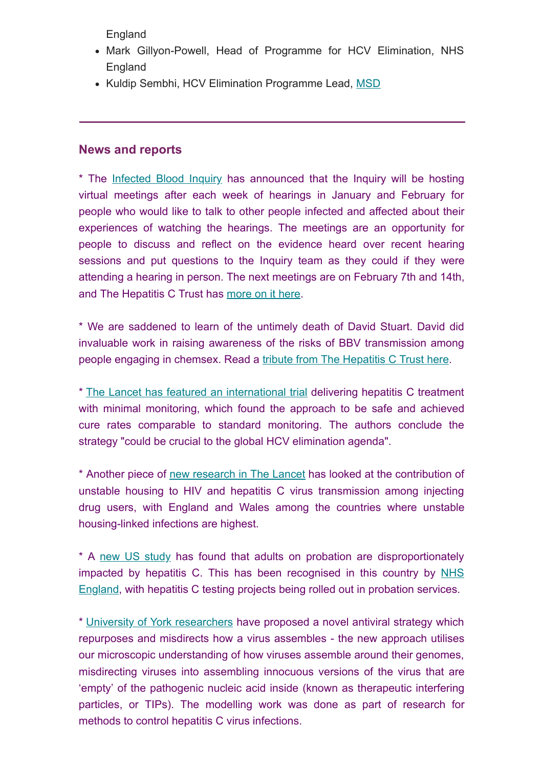England

- Mark Gillyon-Powell, Head of Programme for HCV Elimination, NHS England
- Kuldip Sembhi, HCV Elimination Programme Lead, [MSD](https://www.msd.com/)

#### **News and reports**

\* The [Infected Blood Inquiry](https://www.infectedbloodinquiry.org.uk/local-meeting-response-form) has announced that the Inquiry will be hosting virtual meetings after each week of hearings in January and February for people who would like to talk to other people infected and affected about their experiences of watching the hearings. The meetings are an opportunity for people to discuss and reflect on the evidence heard over recent hearing sessions and put questions to the Inquiry team as they could if they were attending a hearing in person. The next meetings are on February 7th and 14th, and The Hepatitis C Trust has [more on it here.](http://hepctrust.org.uk/blog/jan-2022/infected-blood-inquiry-announces-weekly-update-meetings)

\* We are saddened to learn of the untimely death of David Stuart. David did invaluable work in raising awareness of the risks of BBV transmission among people engaging in chemsex. Read a [tribute from The Hepatitis C Trust here.](http://hepctrust.org.uk/blog/jan-2022/tribute-david-stuart)

\* [The Lancet has featured an international trial](https://www.thelancet.com/journals/langas/article/PIIS2468-1253(21)00397-6/fulltext) delivering hepatitis C treatment with minimal monitoring, which found the approach to be safe and achieved cure rates comparable to standard monitoring. The authors conclude the strategy "could be crucial to the global HCV elimination agenda".

\* Another piece of [new research in The Lancet](https://www.thelancet.com/journals/lanpub/article/PIIS2468-2667(21)00258-9/fulltext) has looked at the contribution of unstable housing to HIV and hepatitis C virus transmission among injecting drug users, with England and Wales among the countries where unstable housing-linked infections are highest.

\* A [new US study](https://www.healio.com/news/infectious-disease/20211230/adults-on-probation-disproportionately-impacted-by-hepatitis-c) has found that adults on probation are disproportionately [impacted by hepatitis C. This has been recognised in this country by NHS](https://www.england.nhs.uk/wp-content/uploads/2019/03/PSS2-hcv-PSS-CQUIN-indicator-v12.docx) England, with hepatitis C testing projects being rolled out in probation services.

\* [University of York researchers](https://www.york.ac.uk/news-and-events/news/2021/research/virus-tips-study/) have proposed a novel antiviral strategy which repurposes and misdirects how a virus assembles - the new approach utilises our microscopic understanding of how viruses assemble around their genomes, misdirecting viruses into assembling innocuous versions of the virus that are 'empty' of the pathogenic nucleic acid inside (known as therapeutic interfering particles, or TIPs). The modelling work was done as part of research for methods to control hepatitis C virus infections.